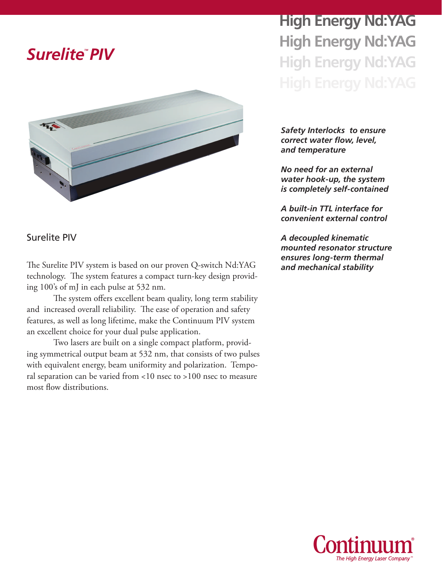



Surelite PIV

*ensures long-term thermal* The Surelite PIV system is based on our proven Q-switch Nd:YAG *and mechanical stability* technology. The system features a compact turn-key design providing 100's of mJ in each pulse at 532 nm.

The system offers excellent beam quality, long term stability and increased overall reliability. The ease of operation and safety features, as well as long lifetime, make the Continuum PIV system an excellent choice for your dual pulse application.

Two lasers are built on a single compact platform, providing symmetrical output beam at 532 nm, that consists of two pulses with equivalent energy, beam uniformity and polarization. Temporal separation can be varied from <10 nsec to >100 nsec to measure most flow distributions.

**High Energy Nd:YAG High Energy Nd:YAG High Energy Nd:YAG**

*Safety Interlocks to ensure correct water flow, level, and temperature*

*No need for an external water hook-up, the system is completely self-contained*

*A built-in TTL interface for convenient external control*

*A decoupled kinematic mounted resonator structure* 

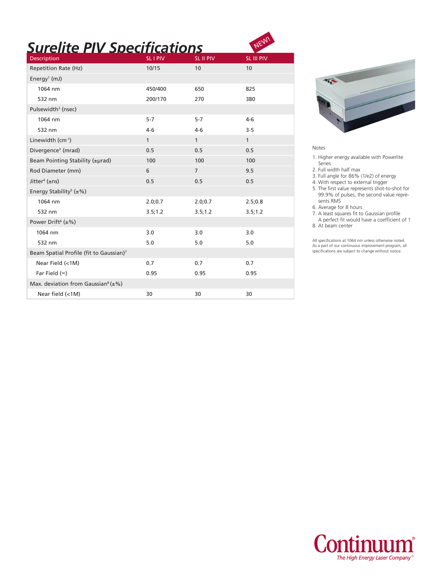# *Surelite PIV Specifications*

| Description                                           | <b>SLIPIV</b> | SL II PIV      | SL III PIV   |
|-------------------------------------------------------|---------------|----------------|--------------|
| <b>Repetition Rate (Hz)</b>                           | 10/15         | 10             | 10           |
| Energy <sup>1</sup> (mJ)                              |               |                |              |
| 1064 nm                                               | 450/400       | 650            | 825          |
| 532 nm                                                | 200/170       | 270            | 380          |
| Pulsewidth <sup>2</sup> (nsec)                        |               |                |              |
| 1064 nm                                               | $5-7$         | $5 - 7$        | $4 - 6$      |
| 532 nm                                                | $4-6$         | $4-6$          | $3 - 5$      |
| Linewidth (cm-1)                                      | $\mathbf{1}$  | $\mathbf{1}$   | $\mathbf{1}$ |
| Divergence <sup>3</sup> (mrad)                        | 0.5           | 0.5            | 0.5          |
| Beam Pointing Stability (±µrad)                       | 100           | 100            | 100          |
| Rod Diameter (mm)                                     | 6             | $\overline{7}$ | 9.5          |
| Jitter <sup>4</sup> ( $\pm$ ns)                       | 0.5           | 0.5            | 0.5          |
| Energy Stability <sup>5</sup> ( $\pm\%$ )             |               |                |              |
| 1064 nm                                               | 2.0;0.7       | 2.0;0.7        | 2.5;0.8      |
| 532 nm                                                | 3.5;1.2       | 3.5;1.2        | 3.5; 1.2     |
| Power Drift <sup>6</sup> ( $\pm\%$ )                  |               |                |              |
| 1064 nm                                               | 3.0           | 3.0            | 3.0          |
| 532 nm                                                | 5.0           | 5.0            | 5.0          |
| Beam Spatial Profile (fit to Gaussian)7               |               |                |              |
| Near Field (<1M)                                      | 0.7           | 0.7            | 0.7          |
| Far Field $(\infty)$                                  | 0.95          | 0.95           | 0.95         |
| Max. deviation from Gaussian <sup>8</sup> ( $\pm\%$ ) |               |                |              |
| Near field (<1M)                                      | 30            | 30             | 30           |



#### Notes

**NEW!** 

1. Higher energy available with Powerlite Series

2. Full width half max

3. Full angle for 86% (1/e2) of energy

4. With respect to external trigger

5. The first value represents shot-to-shot for 99.9% of pulses, the second value repre sents RMS

6. Average for 8 hours

7. A least squares fit to Gaussian profile

 A perfect fit would have a coefficient of 1 8. At beam center

All specifications at 1064 nm unless otherwise noted. As a part of our continuous improvement program, all specifications are subject to change without notice.